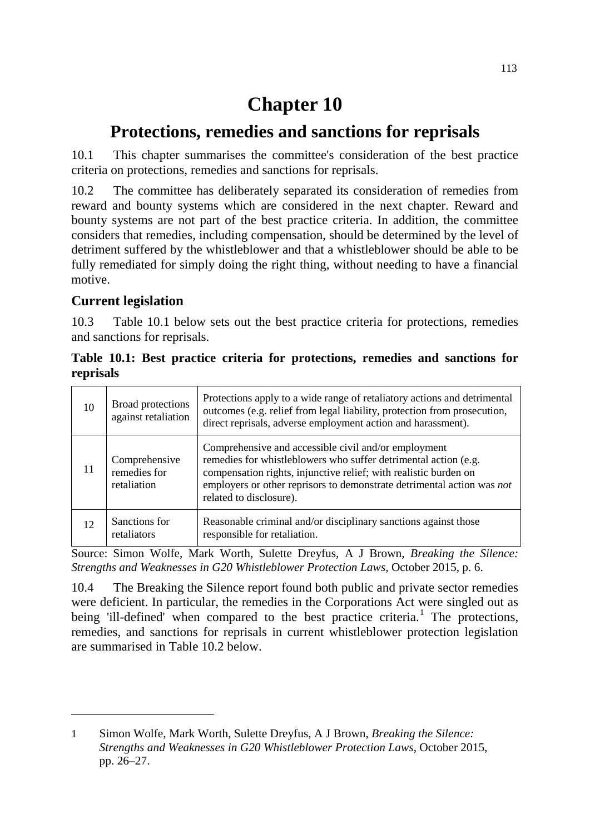# **Chapter 10**

## **Protections, remedies and sanctions for reprisals**

10.1 This chapter summarises the committee's consideration of the best practice criteria on protections, remedies and sanctions for reprisals.

10.2 The committee has deliberately separated its consideration of remedies from reward and bounty systems which are considered in the next chapter. Reward and bounty systems are not part of the best practice criteria. In addition, the committee considers that remedies, including compensation, should be determined by the level of detriment suffered by the whistleblower and that a whistleblower should be able to be fully remediated for simply doing the right thing, without needing to have a financial motive.

### **Current legislation**

-

10.3 Table 10.1 below sets out the best practice criteria for protections, remedies and sanctions for reprisals.

|           |  |  | Table 10.1: Best practice criteria for protections, remedies and sanctions for |  |  |
|-----------|--|--|--------------------------------------------------------------------------------|--|--|
| reprisals |  |  |                                                                                |  |  |

| 10 | Broad protections<br>against retaliation     | Protections apply to a wide range of retaliatory actions and detrimental<br>outcomes (e.g. relief from legal liability, protection from prosecution,<br>direct reprisals, adverse employment action and harassment).                                                                             |
|----|----------------------------------------------|--------------------------------------------------------------------------------------------------------------------------------------------------------------------------------------------------------------------------------------------------------------------------------------------------|
| 11 | Comprehensive<br>remedies for<br>retaliation | Comprehensive and accessible civil and/or employment<br>remedies for whistleblowers who suffer detrimental action (e.g.<br>compensation rights, injunctive relief; with realistic burden on<br>employers or other reprisors to demonstrate detrimental action was not<br>related to disclosure). |
| 12 | Sanctions for<br>retaliators                 | Reasonable criminal and/or disciplinary sanctions against those<br>responsible for retaliation.                                                                                                                                                                                                  |

Source: Simon Wolfe, Mark Worth, Sulette Dreyfus, A J Brown, *Breaking the Silence: Strengths and Weaknesses in G20 Whistleblower Protection Laws*, October 2015, p. 6.

10.4 The Breaking the Silence report found both public and private sector remedies were deficient. In particular, the remedies in the Corporations Act were singled out as being 'ill-defined' when compared to the best practice criteria.<sup>[1](#page-0-0)</sup> The protections, remedies, and sanctions for reprisals in current whistleblower protection legislation are summarised in Table 10.2 below.

<span id="page-0-0"></span><sup>1</sup> Simon Wolfe, Mark Worth, Sulette Dreyfus, A J Brown, *Breaking the Silence: Strengths and Weaknesses in G20 Whistleblower Protection Laws*, October 2015, pp. 26–27.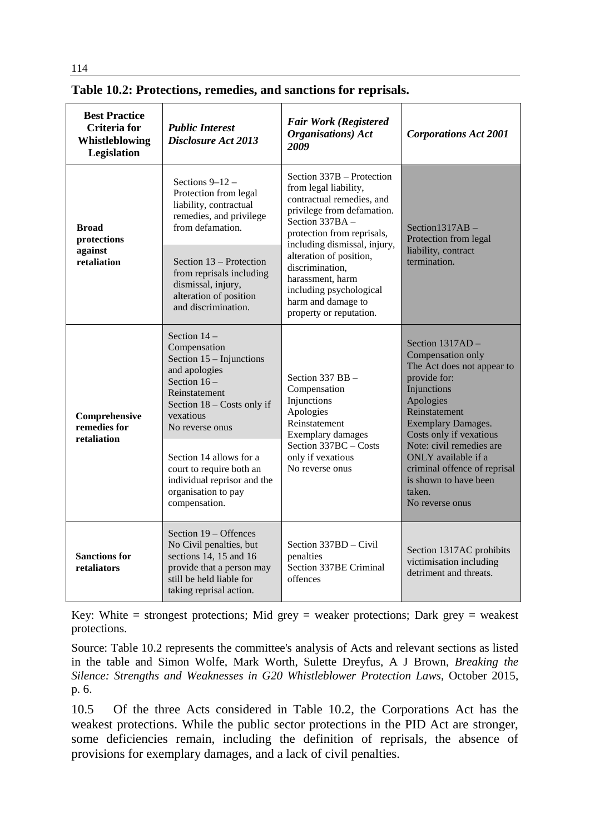| <b>Best Practice</b><br><b>Criteria</b> for<br>Whistleblowing<br>Legislation | <b>Public Interest</b><br><b>Disclosure Act 2013</b>                                                                                                                                                                                                                                                       | <b>Fair Work (Registered</b><br><b>Organisations</b> ) Act<br>2009                                                                                                         | <b>Corporations Act 2001</b>                                                                                                                                                                                                                                                                                                        |  |
|------------------------------------------------------------------------------|------------------------------------------------------------------------------------------------------------------------------------------------------------------------------------------------------------------------------------------------------------------------------------------------------------|----------------------------------------------------------------------------------------------------------------------------------------------------------------------------|-------------------------------------------------------------------------------------------------------------------------------------------------------------------------------------------------------------------------------------------------------------------------------------------------------------------------------------|--|
| <b>Broad</b><br>protections                                                  | Sections $9-12$ -<br>Protection from legal<br>liability, contractual<br>remedies, and privilege<br>from defamation.                                                                                                                                                                                        | Section $337B$ – Protection<br>from legal liability,<br>contractual remedies, and<br>privilege from defamation.<br>Section 337BA -<br>protection from reprisals,           | Section1317AB-<br>Protection from legal                                                                                                                                                                                                                                                                                             |  |
| against<br>retaliation                                                       | Section 13 - Protection<br>from reprisals including<br>dismissal, injury,<br>alteration of position<br>and discrimination.                                                                                                                                                                                 | including dismissal, injury,<br>alteration of position,<br>discrimination,<br>harassment, harm<br>including psychological<br>harm and damage to<br>property or reputation. | liability, contract<br>termination.                                                                                                                                                                                                                                                                                                 |  |
| Comprehensive<br>remedies for<br>retaliation                                 | Section $14-$<br>Compensation<br>Section $15 -$ Injunctions<br>and apologies<br>Section $16-$<br>Reinstatement<br>Section 18 - Costs only if<br>vexatious<br>No reverse onus<br>Section 14 allows for a<br>court to require both an<br>individual reprisor and the<br>organisation to pay<br>compensation. | Section $337$ BB $-$<br>Compensation<br>Injunctions<br>Apologies<br>Reinstatement<br>Exemplary damages<br>Section 337BC - Costs<br>only if vexatious<br>No reverse onus    | Section $1317AD -$<br>Compensation only<br>The Act does not appear to<br>provide for:<br>Injunctions<br>Apologies<br>Reinstatement<br><b>Exemplary Damages.</b><br>Costs only if vexatious<br>Note: civil remedies are<br>ONLY available if a<br>criminal offence of reprisal<br>is shown to have been<br>taken.<br>No reverse onus |  |
| <b>Sanctions for</b><br>retaliators                                          | Section 19 – Offences<br>No Civil penalties, but<br>sections 14, 15 and 16<br>provide that a person may<br>still be held liable for<br>taking reprisal action.                                                                                                                                             | Section 337BD - Civil<br>penalties<br>Section 337BE Criminal<br>offences                                                                                                   | Section 1317AC prohibits<br>victimisation including<br>detriment and threats.                                                                                                                                                                                                                                                       |  |

#### **Table 10.2: Protections, remedies, and sanctions for reprisals.**

Key: White  $=$  strongest protections; Mid grey  $=$  weaker protections; Dark grey  $=$  weakest protections.

Source: Table 10.2 represents the committee's analysis of Acts and relevant sections as listed in the table and Simon Wolfe, Mark Worth, Sulette Dreyfus, A J Brown, *Breaking the Silence: Strengths and Weaknesses in G20 Whistleblower Protection Laws,* October 2015, p. 6.

10.5 Of the three Acts considered in Table 10.2, the Corporations Act has the weakest protections. While the public sector protections in the PID Act are stronger, some deficiencies remain, including the definition of reprisals, the absence of provisions for exemplary damages, and a lack of civil penalties.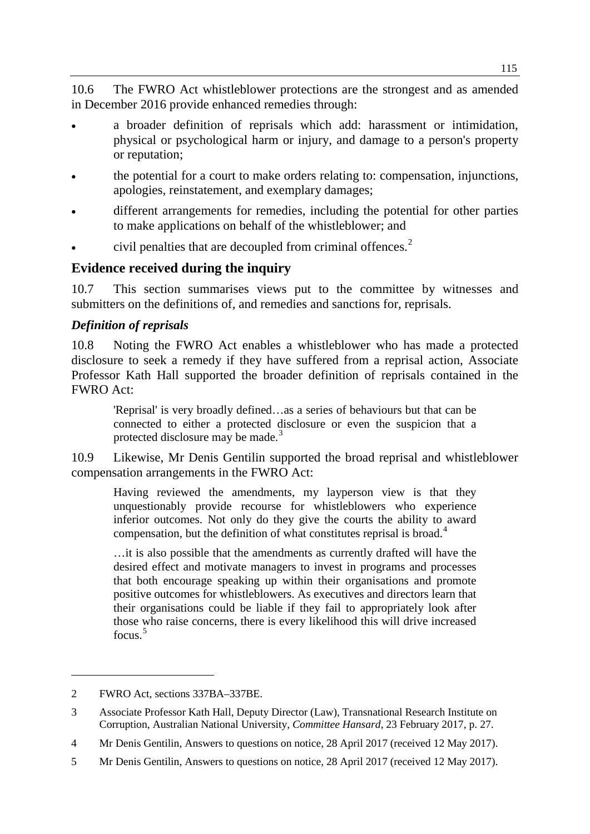10.6 The FWRO Act whistleblower protections are the strongest and as amended in December 2016 provide enhanced remedies through:

- a broader definition of reprisals which add: harassment or intimidation, physical or psychological harm or injury, and damage to a person's property or reputation;
- the potential for a court to make orders relating to: compensation, injunctions, apologies, reinstatement, and exemplary damages;
- different arrangements for remedies, including the potential for other parties to make applications on behalf of the whistleblower; and
- civil penalties that are decoupled from criminal offences.<sup>[2](#page-2-0)</sup>

#### **Evidence received during the inquiry**

10.7 This section summarises views put to the committee by witnesses and submitters on the definitions of, and remedies and sanctions for, reprisals.

#### *Definition of reprisals*

10.8 Noting the FWRO Act enables a whistleblower who has made a protected disclosure to seek a remedy if they have suffered from a reprisal action, Associate Professor Kath Hall supported the broader definition of reprisals contained in the FWRO Act:

'Reprisal' is very broadly defined…as a series of behaviours but that can be connected to either a protected disclosure or even the suspicion that a protected disclosure may be made.<sup>[3](#page-2-1)</sup>

10.9 Likewise, Mr Denis Gentilin supported the broad reprisal and whistleblower compensation arrangements in the FWRO Act:

Having reviewed the amendments, my layperson view is that they unquestionably provide recourse for whistleblowers who experience inferior outcomes. Not only do they give the courts the ability to award compensation, but the definition of what constitutes reprisal is broad. [4](#page-2-2)

…it is also possible that the amendments as currently drafted will have the desired effect and motivate managers to invest in programs and processes that both encourage speaking up within their organisations and promote positive outcomes for whistleblowers. As executives and directors learn that their organisations could be liable if they fail to appropriately look after those who raise concerns, there is every likelihood this will drive increased focus.<sup>[5](#page-2-3)</sup>

<span id="page-2-0"></span><sup>2</sup> FWRO Act, sections 337BA–337BE.

<span id="page-2-1"></span><sup>3</sup> Associate Professor Kath Hall, Deputy Director (Law), Transnational Research Institute on Corruption, Australian National University, *Committee Hansard*, 23 February 2017, p. 27.

<span id="page-2-2"></span><sup>4</sup> Mr Denis Gentilin, Answers to questions on notice, 28 April 2017 (received 12 May 2017).

<span id="page-2-3"></span><sup>5</sup> Mr Denis Gentilin, Answers to questions on notice, 28 April 2017 (received 12 May 2017).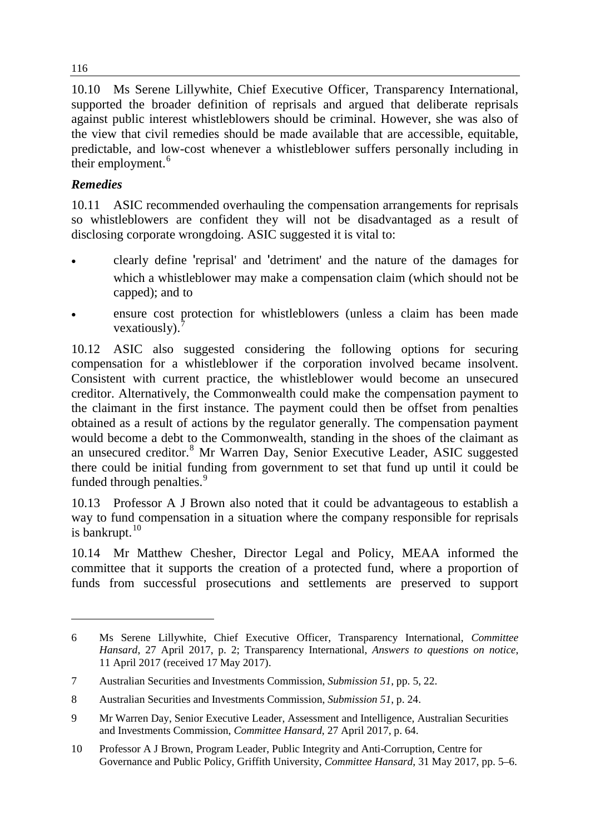10.10 Ms Serene Lillywhite, Chief Executive Officer, Transparency International, supported the broader definition of reprisals and argued that deliberate reprisals against public interest whistleblowers should be criminal. However, she was also of the view that civil remedies should be made available that are accessible, equitable, predictable, and low-cost whenever a whistleblower suffers personally including in their employment.<sup>[6](#page-3-0)</sup>

#### *Remedies*

-

10.11 ASIC recommended overhauling the compensation arrangements for reprisals so whistleblowers are confident they will not be disadvantaged as a result of disclosing corporate wrongdoing. ASIC suggested it is vital to:

- clearly define 'reprisal' and 'detriment' and the nature of the damages for which a whistleblower may make a compensation claim (which should not be capped); and to
- ensure cost protection for whistleblowers (unless a claim has been made vexatiously).

10.12 ASIC also suggested considering the following options for securing compensation for a whistleblower if the corporation involved became insolvent. Consistent with current practice, the whistleblower would become an unsecured creditor. Alternatively, the Commonwealth could make the compensation payment to the claimant in the first instance. The payment could then be offset from penalties obtained as a result of actions by the regulator generally. The compensation payment would become a debt to the Commonwealth, standing in the shoes of the claimant as an unsecured creditor.<sup>[8](#page-3-2)</sup> Mr Warren Day, Senior Executive Leader, ASIC suggested there could be initial funding from government to set that fund up until it could be funded through penalties.<sup>[9](#page-3-3)</sup>

10.13 Professor A J Brown also noted that it could be advantageous to establish a way to fund compensation in a situation where the company responsible for reprisals is bankrupt. $10$ 

10.14 Mr Matthew Chesher, Director Legal and Policy, MEAA informed the committee that it supports the creation of a protected fund, where a proportion of funds from successful prosecutions and settlements are preserved to support

116

<span id="page-3-0"></span><sup>6</sup> Ms Serene Lillywhite, Chief Executive Officer, Transparency International, *Committee Hansard*, 27 April 2017, p. 2; Transparency International, *Answers to questions on notice*, 11 April 2017 (received 17 May 2017).

<span id="page-3-1"></span><sup>7</sup> Australian Securities and Investments Commission, *Submission 51*, pp. 5, 22.

<span id="page-3-2"></span><sup>8</sup> Australian Securities and Investments Commission, *Submission 51*, p. 24.

<span id="page-3-3"></span><sup>9</sup> Mr Warren Day, Senior Executive Leader, Assessment and Intelligence, Australian Securities and Investments Commission, *Committee Hansard*, 27 April 2017, p. 64.

<span id="page-3-4"></span><sup>10</sup> Professor A J Brown, Program Leader, Public Integrity and Anti-Corruption, Centre for Governance and Public Policy, Griffith University, *Committee Hansard*, 31 May 2017, pp. 5–6.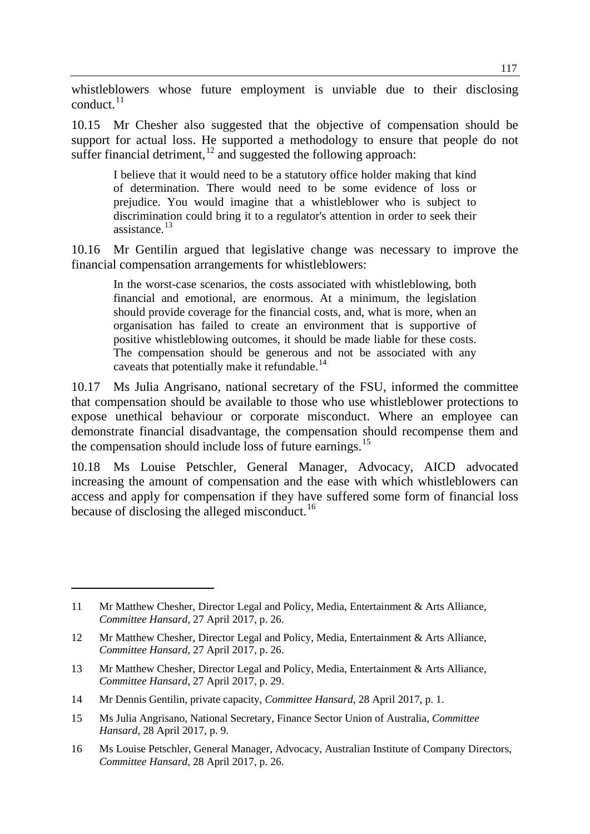whistleblowers whose future employment is unviable due to their disclosing conduct. $^{11}$  $^{11}$  $^{11}$ 

10.15 Mr Chesher also suggested that the objective of compensation should be support for actual loss. He supported a methodology to ensure that people do not suffer financial detriment,<sup>[12](#page-4-1)</sup> and suggested the following approach:

I believe that it would need to be a statutory office holder making that kind of determination. There would need to be some evidence of loss or prejudice. You would imagine that a whistleblower who is subject to discrimination could bring it to a regulator's attention in order to seek their assistance. [13](#page-4-2)

10.16 Mr Gentilin argued that legislative change was necessary to improve the financial compensation arrangements for whistleblowers:

In the worst-case scenarios, the costs associated with whistleblowing, both financial and emotional, are enormous. At a minimum, the legislation should provide coverage for the financial costs, and, what is more, when an organisation has failed to create an environment that is supportive of positive whistleblowing outcomes, it should be made liable for these costs. The compensation should be generous and not be associated with any caveats that potentially make it refundable.<sup>[14](#page-4-3)</sup>

10.17 Ms Julia Angrisano, national secretary of the FSU, informed the committee that compensation should be available to those who use whistleblower protections to expose unethical behaviour or corporate misconduct. Where an employee can demonstrate financial disadvantage, the compensation should recompense them and the compensation should include loss of future earnings.[15](#page-4-4)

10.18 Ms Louise Petschler, General Manager, Advocacy, AICD advocated increasing the amount of compensation and the ease with which whistleblowers can access and apply for compensation if they have suffered some form of financial loss because of disclosing the alleged misconduct.<sup>[16](#page-4-5)</sup>

<span id="page-4-2"></span>13 Mr Matthew Chesher, Director Legal and Policy, Media, Entertainment & Arts Alliance, *Committee Hansard*, 27 April 2017, p. 29.

- <span id="page-4-4"></span>15 Ms Julia Angrisano, National Secretary, Finance Sector Union of Australia, *Committee Hansard*, 28 April 2017, p. 9.
- <span id="page-4-5"></span>16 Ms Louise Petschler, General Manager, Advocacy, Australian Institute of Company Directors, *Committee Hansard*, 28 April 2017, p. 26.

<span id="page-4-0"></span><sup>11</sup> Mr Matthew Chesher, Director Legal and Policy, Media, Entertainment & Arts Alliance, *Committee Hansard*, 27 April 2017, p. 26.

<span id="page-4-1"></span><sup>12</sup> Mr Matthew Chesher, Director Legal and Policy, Media, Entertainment & Arts Alliance, *Committee Hansard*, 27 April 2017, p. 26.

<span id="page-4-3"></span><sup>14</sup> Mr Dennis Gentilin, private capacity, *Committee Hansard*, 28 April 2017, p. 1.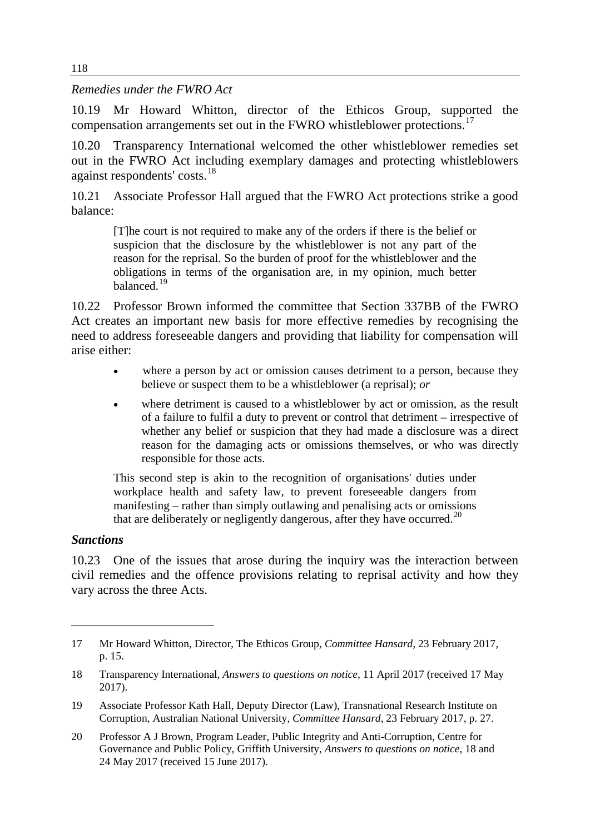*Remedies under the FWRO Act*

10.19 Mr Howard Whitton, director of the Ethicos Group, supported the compensation arrangements set out in the FWRO whistleblower protections.<sup>[17](#page-5-0)</sup>

10.20 Transparency International welcomed the other whistleblower remedies set out in the FWRO Act including exemplary damages and protecting whistleblowers against respondents' costs.<sup>[18](#page-5-1)</sup>

10.21 Associate Professor Hall argued that the FWRO Act protections strike a good balance:

[T]he court is not required to make any of the orders if there is the belief or suspicion that the disclosure by the whistleblower is not any part of the reason for the reprisal. So the burden of proof for the whistleblower and the obligations in terms of the organisation are, in my opinion, much better balanced.[19](#page-5-2)

10.22 Professor Brown informed the committee that Section 337BB of the FWRO Act creates an important new basis for more effective remedies by recognising the need to address foreseeable dangers and providing that liability for compensation will arise either:

- where a person by act or omission causes detriment to a person, because they believe or suspect them to be a whistleblower (a reprisal); *or*
- where detriment is caused to a whistleblower by act or omission, as the result of a failure to fulfil a duty to prevent or control that detriment – irrespective of whether any belief or suspicion that they had made a disclosure was a direct reason for the damaging acts or omissions themselves, or who was directly responsible for those acts.

This second step is akin to the recognition of organisations' duties under workplace health and safety law, to prevent foreseeable dangers from manifesting – rather than simply outlawing and penalising acts or omissions that are deliberately or negligently dangerous, after they have occurred.<sup>[20](#page-5-3)</sup>

#### *Sanctions*

-

10.23 One of the issues that arose during the inquiry was the interaction between civil remedies and the offence provisions relating to reprisal activity and how they vary across the three Acts.

<span id="page-5-0"></span><sup>17</sup> Mr Howard Whitton, Director, The Ethicos Group, *Committee Hansard*, 23 February 2017, p. 15.

<span id="page-5-1"></span><sup>18</sup> Transparency International, *Answers to questions on notice*, 11 April 2017 (received 17 May 2017).

<span id="page-5-2"></span><sup>19</sup> Associate Professor Kath Hall, Deputy Director (Law), Transnational Research Institute on Corruption, Australian National University, *Committee Hansard*, 23 February 2017, p. 27.

<span id="page-5-3"></span><sup>20</sup> Professor A J Brown, Program Leader, Public Integrity and Anti-Corruption, Centre for Governance and Public Policy, Griffith University, *Answers to questions on notice*, 18 and 24 May 2017 (received 15 June 2017).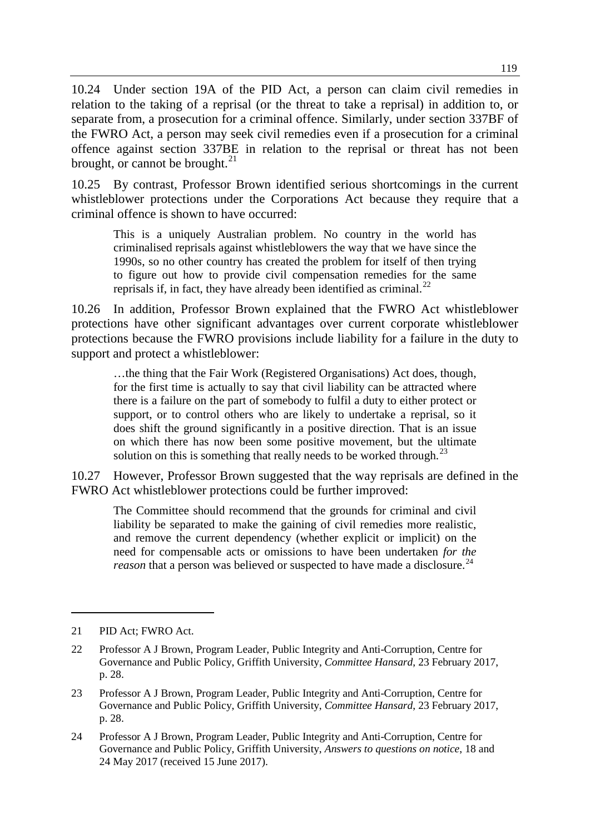10.24 Under section 19A of the PID Act, a person can claim civil remedies in relation to the taking of a reprisal (or the threat to take a reprisal) in addition to, or separate from, a prosecution for a criminal offence. Similarly, under section 337BF of the FWRO Act, a person may seek civil remedies even if a prosecution for a criminal offence against section 337BE in relation to the reprisal or threat has not been brought, or cannot be brought. $^{21}$  $^{21}$  $^{21}$ 

10.25 By contrast, Professor Brown identified serious shortcomings in the current whistleblower protections under the Corporations Act because they require that a criminal offence is shown to have occurred:

This is a uniquely Australian problem. No country in the world has criminalised reprisals against whistleblowers the way that we have since the 1990s, so no other country has created the problem for itself of then trying to figure out how to provide civil compensation remedies for the same reprisals if, in fact, they have already been identified as criminal.<sup>[22](#page-6-1)</sup>

10.26 In addition, Professor Brown explained that the FWRO Act whistleblower protections have other significant advantages over current corporate whistleblower protections because the FWRO provisions include liability for a failure in the duty to support and protect a whistleblower:

…the thing that the Fair Work (Registered Organisations) Act does, though, for the first time is actually to say that civil liability can be attracted where there is a failure on the part of somebody to fulfil a duty to either protect or support, or to control others who are likely to undertake a reprisal, so it does shift the ground significantly in a positive direction. That is an issue on which there has now been some positive movement, but the ultimate solution on this is something that really needs to be worked through.<sup>[23](#page-6-2)</sup>

10.27 However, Professor Brown suggested that the way reprisals are defined in the FWRO Act whistleblower protections could be further improved:

The Committee should recommend that the grounds for criminal and civil liability be separated to make the gaining of civil remedies more realistic, and remove the current dependency (whether explicit or implicit) on the need for compensable acts or omissions to have been undertaken *for the reason* that a person was believed or suspected to have made a disclosure.<sup>[24](#page-6-3)</sup>

<span id="page-6-0"></span><sup>21</sup> PID Act; FWRO Act.

<span id="page-6-1"></span><sup>22</sup> Professor A J Brown, Program Leader, Public Integrity and Anti-Corruption, Centre for Governance and Public Policy, Griffith University, *Committee Hansard*, 23 February 2017, p. 28.

<span id="page-6-2"></span><sup>23</sup> Professor A J Brown, Program Leader, Public Integrity and Anti-Corruption, Centre for Governance and Public Policy, Griffith University, *Committee Hansard*, 23 February 2017, p. 28.

<span id="page-6-3"></span><sup>24</sup> Professor A J Brown, Program Leader, Public Integrity and Anti-Corruption, Centre for Governance and Public Policy, Griffith University, *Answers to questions on notice*, 18 and 24 May 2017 (received 15 June 2017).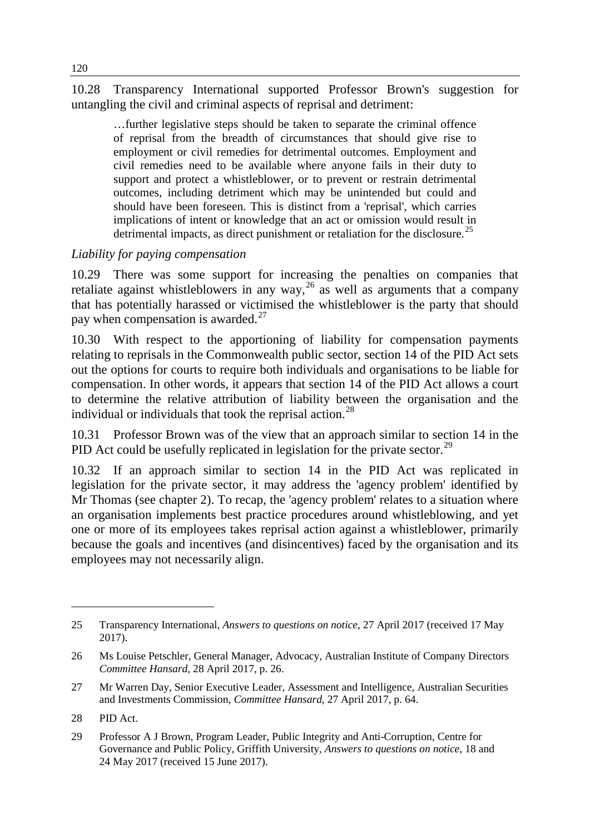10.28 Transparency International supported Professor Brown's suggestion for untangling the civil and criminal aspects of reprisal and detriment:

…further legislative steps should be taken to separate the criminal offence of reprisal from the breadth of circumstances that should give rise to employment or civil remedies for detrimental outcomes. Employment and civil remedies need to be available where anyone fails in their duty to support and protect a whistleblower, or to prevent or restrain detrimental outcomes, including detriment which may be unintended but could and should have been foreseen. This is distinct from a 'reprisal', which carries implications of intent or knowledge that an act or omission would result in detrimental impacts, as direct punishment or retaliation for the disclosure.<sup>[25](#page-7-0)</sup>

#### *Liability for paying compensation*

10.29 There was some support for increasing the penalties on companies that retaliate against whistleblowers in any way,  $^{26}$  $^{26}$  $^{26}$  as well as arguments that a company that has potentially harassed or victimised the whistleblower is the party that should pay when compensation is awarded. $^{27}$  $^{27}$  $^{27}$ 

10.30 With respect to the apportioning of liability for compensation payments relating to reprisals in the Commonwealth public sector, section 14 of the PID Act sets out the options for courts to require both individuals and organisations to be liable for compensation. In other words, it appears that section 14 of the PID Act allows a court to determine the relative attribution of liability between the organisation and the individual or individuals that took the reprisal action.<sup>[28](#page-7-3)</sup>

10.31 Professor Brown was of the view that an approach similar to section 14 in the PID Act could be usefully replicated in legislation for the private sector.<sup>[29](#page-7-4)</sup>

10.32 If an approach similar to section 14 in the PID Act was replicated in legislation for the private sector, it may address the 'agency problem' identified by Mr Thomas (see chapter 2). To recap, the 'agency problem' relates to a situation where an organisation implements best practice procedures around whistleblowing, and yet one or more of its employees takes reprisal action against a whistleblower, primarily because the goals and incentives (and disincentives) faced by the organisation and its employees may not necessarily align.

<span id="page-7-0"></span><sup>25</sup> Transparency International, *Answers to questions on notice*, 27 April 2017 (received 17 May 2017).

<span id="page-7-1"></span><sup>26</sup> Ms Louise Petschler, General Manager, Advocacy, Australian Institute of Company Directors *Committee Hansard*, 28 April 2017, p. 26.

<span id="page-7-2"></span><sup>27</sup> Mr Warren Day, Senior Executive Leader, Assessment and Intelligence, Australian Securities and Investments Commission, *Committee Hansard*, 27 April 2017, p. 64.

<span id="page-7-3"></span><sup>28</sup> PID Act.

<span id="page-7-4"></span><sup>29</sup> Professor A J Brown, Program Leader, Public Integrity and Anti-Corruption, Centre for Governance and Public Policy, Griffith University, *Answers to questions on notice*, 18 and 24 May 2017 (received 15 June 2017).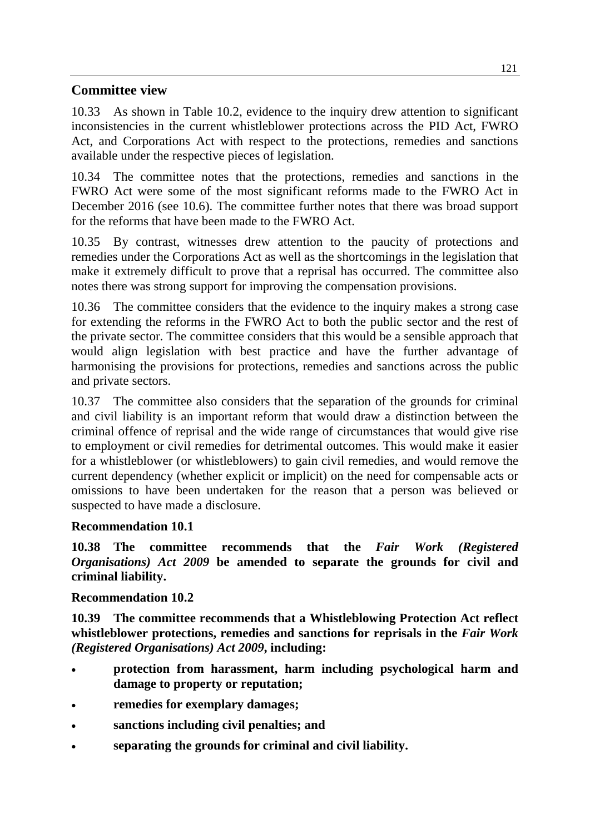#### **Committee view**

10.33 As shown in Table 10.2, evidence to the inquiry drew attention to significant inconsistencies in the current whistleblower protections across the PID Act, FWRO Act, and Corporations Act with respect to the protections, remedies and sanctions available under the respective pieces of legislation.

10.34 The committee notes that the protections, remedies and sanctions in the FWRO Act were some of the most significant reforms made to the FWRO Act in December 2016 (see 10.6). The committee further notes that there was broad support for the reforms that have been made to the FWRO Act.

10.35 By contrast, witnesses drew attention to the paucity of protections and remedies under the Corporations Act as well as the shortcomings in the legislation that make it extremely difficult to prove that a reprisal has occurred. The committee also notes there was strong support for improving the compensation provisions.

10.36 The committee considers that the evidence to the inquiry makes a strong case for extending the reforms in the FWRO Act to both the public sector and the rest of the private sector. The committee considers that this would be a sensible approach that would align legislation with best practice and have the further advantage of harmonising the provisions for protections, remedies and sanctions across the public and private sectors.

10.37 The committee also considers that the separation of the grounds for criminal and civil liability is an important reform that would draw a distinction between the criminal offence of reprisal and the wide range of circumstances that would give rise to employment or civil remedies for detrimental outcomes. This would make it easier for a whistleblower (or whistleblowers) to gain civil remedies, and would remove the current dependency (whether explicit or implicit) on the need for compensable acts or omissions to have been undertaken for the reason that a person was believed or suspected to have made a disclosure.

#### **Recommendation 10.1**

**10.38 The committee recommends that the** *Fair Work (Registered Organisations) Act 2009* **be amended to separate the grounds for civil and criminal liability.**

#### **Recommendation 10.2**

**10.39 The committee recommends that a Whistleblowing Protection Act reflect whistleblower protections, remedies and sanctions for reprisals in the** *Fair Work (Registered Organisations) Act 2009***, including:**

- **protection from harassment, harm including psychological harm and damage to property or reputation;**
- **remedies for exemplary damages;**
- **sanctions including civil penalties; and**
- **separating the grounds for criminal and civil liability.**